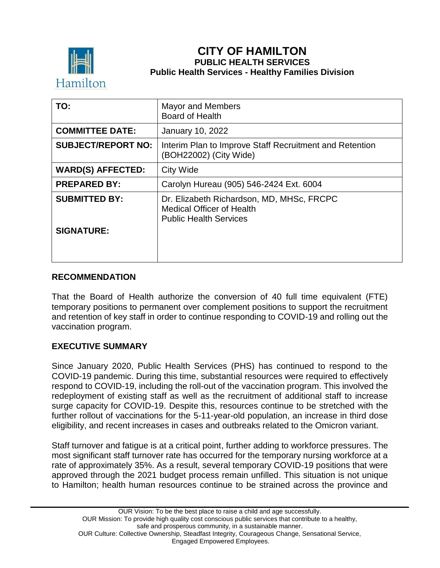

# **CITY OF HAMILTON PUBLIC HEALTH SERVICES Public Health Services - Healthy Families Division**

| TO:                       | <b>Mayor and Members</b><br><b>Board of Health</b>                                                             |
|---------------------------|----------------------------------------------------------------------------------------------------------------|
| <b>COMMITTEE DATE:</b>    | January 10, 2022                                                                                               |
| <b>SUBJECT/REPORT NO:</b> | Interim Plan to Improve Staff Recruitment and Retention<br>(BOH22002) (City Wide)                              |
| <b>WARD(S) AFFECTED:</b>  | <b>City Wide</b>                                                                                               |
| <b>PREPARED BY:</b>       | Carolyn Hureau (905) 546-2424 Ext. 6004                                                                        |
| <b>SUBMITTED BY:</b>      | Dr. Elizabeth Richardson, MD, MHSc, FRCPC<br><b>Medical Officer of Health</b><br><b>Public Health Services</b> |
| <b>SIGNATURE:</b>         |                                                                                                                |

#### **RECOMMENDATION**

That the Board of Health authorize the conversion of 40 full time equivalent (FTE) temporary positions to permanent over complement positions to support the recruitment and retention of key staff in order to continue responding to COVID-19 and rolling out the vaccination program.

### **EXECUTIVE SUMMARY**

Since January 2020, Public Health Services (PHS) has continued to respond to the COVID-19 pandemic. During this time, substantial resources were required to effectively respond to COVID-19, including the roll-out of the vaccination program. This involved the redeployment of existing staff as well as the recruitment of additional staff to increase surge capacity for COVID-19. Despite this, resources continue to be stretched with the further rollout of vaccinations for the 5-11-year-old population, an increase in third dose eligibility, and recent increases in cases and outbreaks related to the Omicron variant.

Staff turnover and fatigue is at a critical point, further adding to workforce pressures. The most significant staff turnover rate has occurred for the temporary nursing workforce at a rate of approximately 35%. As a result, several temporary COVID-19 positions that were approved through the 2021 budget process remain unfilled. This situation is not unique to Hamilton; health human resources continue to be strained across the province and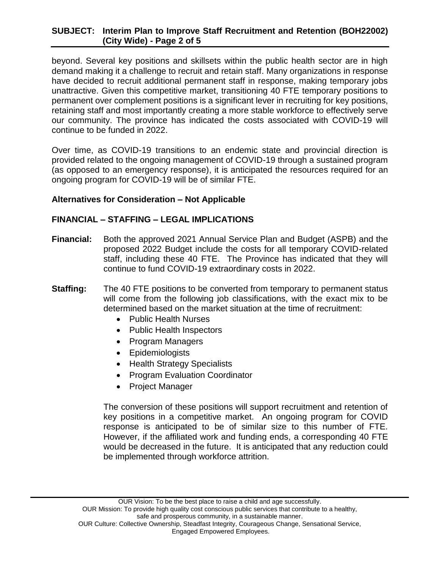### **SUBJECT: Interim Plan to Improve Staff Recruitment and Retention (BOH22002) (City Wide) - Page 2 of 5**

beyond. Several key positions and skillsets within the public health sector are in high demand making it a challenge to recruit and retain staff. Many organizations in response have decided to recruit additional permanent staff in response, making temporary jobs unattractive. Given this competitive market, transitioning 40 FTE temporary positions to permanent over complement positions is a significant lever in recruiting for key positions, retaining staff and most importantly creating a more stable workforce to effectively serve our community. The province has indicated the costs associated with COVID-19 will continue to be funded in 2022.

Over time, as COVID-19 transitions to an endemic state and provincial direction is provided related to the ongoing management of COVID-19 through a sustained program (as opposed to an emergency response), it is anticipated the resources required for an ongoing program for COVID-19 will be of similar FTE.

#### **Alternatives for Consideration – Not Applicable**

### **FINANCIAL – STAFFING – LEGAL IMPLICATIONS**

- **Financial:** Both the approved 2021 Annual Service Plan and Budget (ASPB) and the proposed 2022 Budget include the costs for all temporary COVID-related staff, including these 40 FTE. The Province has indicated that they will continue to fund COVID-19 extraordinary costs in 2022.
- **Staffing:** The 40 FTE positions to be converted from temporary to permanent status will come from the following job classifications, with the exact mix to be determined based on the market situation at the time of recruitment:
	- Public Health Nurses
	- Public Health Inspectors
	- Program Managers
	- Epidemiologists
	- Health Strategy Specialists
	- Program Evaluation Coordinator
	- Project Manager

The conversion of these positions will support recruitment and retention of key positions in a competitive market. An ongoing program for COVID response is anticipated to be of similar size to this number of FTE. However, if the affiliated work and funding ends, a corresponding 40 FTE would be decreased in the future. It is anticipated that any reduction could be implemented through workforce attrition.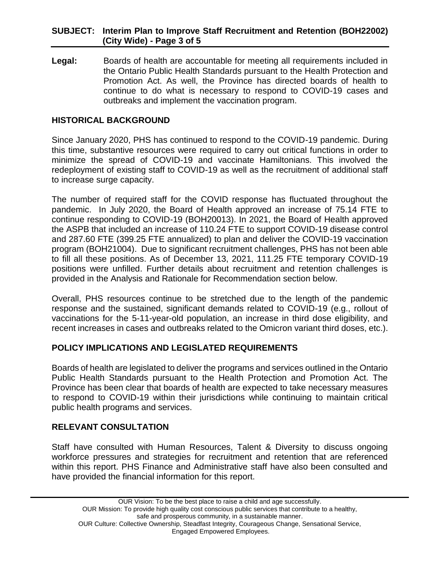### **SUBJECT: Interim Plan to Improve Staff Recruitment and Retention (BOH22002) (City Wide) - Page 3 of 5**

**Legal:** Boards of health are accountable for meeting all requirements included in the Ontario Public Health Standards pursuant to the Health Protection and Promotion Act. As well, the Province has directed boards of health to continue to do what is necessary to respond to COVID-19 cases and outbreaks and implement the vaccination program.

### **HISTORICAL BACKGROUND**

Since January 2020, PHS has continued to respond to the COVID-19 pandemic. During this time, substantive resources were required to carry out critical functions in order to minimize the spread of COVID-19 and vaccinate Hamiltonians. This involved the redeployment of existing staff to COVID-19 as well as the recruitment of additional staff to increase surge capacity.

The number of required staff for the COVID response has fluctuated throughout the pandemic. In July 2020, the Board of Health approved an increase of 75.14 FTE to continue responding to COVID-19 (BOH20013). In 2021, the Board of Health approved the ASPB that included an increase of 110.24 FTE to support COVID-19 disease control and 287.60 FTE (399.25 FTE annualized) to plan and deliver the COVID-19 vaccination program (BOH21004). Due to significant recruitment challenges, PHS has not been able to fill all these positions. As of December 13, 2021, 111.25 FTE temporary COVID-19 positions were unfilled. Further details about recruitment and retention challenges is provided in the Analysis and Rationale for Recommendation section below.

Overall, PHS resources continue to be stretched due to the length of the pandemic response and the sustained, significant demands related to COVID-19 (e.g., rollout of vaccinations for the 5-11-year-old population, an increase in third dose eligibility, and recent increases in cases and outbreaks related to the Omicron variant third doses, etc.).

### **POLICY IMPLICATIONS AND LEGISLATED REQUIREMENTS**

Boards of health are legislated to deliver the programs and services outlined in the Ontario Public Health Standards pursuant to the Health Protection and Promotion Act. The Province has been clear that boards of health are expected to take necessary measures to respond to COVID-19 within their jurisdictions while continuing to maintain critical public health programs and services.

#### **RELEVANT CONSULTATION**

Staff have consulted with Human Resources, Talent & Diversity to discuss ongoing workforce pressures and strategies for recruitment and retention that are referenced within this report. PHS Finance and Administrative staff have also been consulted and have provided the financial information for this report.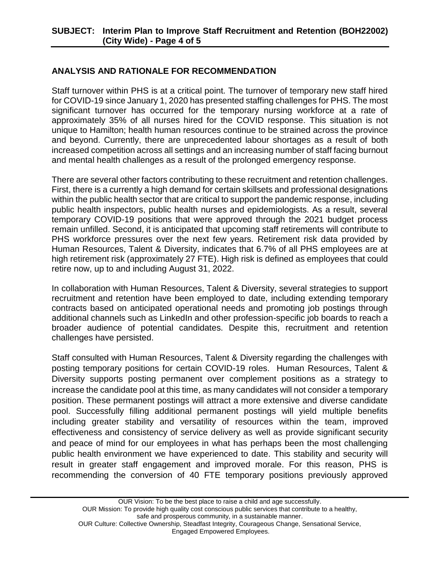# **ANALYSIS AND RATIONALE FOR RECOMMENDATION**

Staff turnover within PHS is at a critical point. The turnover of temporary new staff hired for COVID-19 since January 1, 2020 has presented staffing challenges for PHS. The most significant turnover has occurred for the temporary nursing workforce at a rate of approximately 35% of all nurses hired for the COVID response. This situation is not unique to Hamilton; health human resources continue to be strained across the province and beyond. Currently, there are unprecedented labour shortages as a result of both increased competition across all settings and an increasing number of staff facing burnout and mental health challenges as a result of the prolonged emergency response.

There are several other factors contributing to these recruitment and retention challenges. First, there is a currently a high demand for certain skillsets and professional designations within the public health sector that are critical to support the pandemic response, including public health inspectors, public health nurses and epidemiologists. As a result, several temporary COVID-19 positions that were approved through the 2021 budget process remain unfilled. Second, it is anticipated that upcoming staff retirements will contribute to PHS workforce pressures over the next few years. Retirement risk data provided by Human Resources, Talent & Diversity, indicates that 6.7% of all PHS employees are at high retirement risk (approximately 27 FTE). High risk is defined as employees that could retire now, up to and including August 31, 2022.

In collaboration with Human Resources, Talent & Diversity, several strategies to support recruitment and retention have been employed to date, including extending temporary contracts based on anticipated operational needs and promoting job postings through additional channels such as LinkedIn and other profession-specific job boards to reach a broader audience of potential candidates. Despite this, recruitment and retention challenges have persisted.

Staff consulted with Human Resources, Talent & Diversity regarding the challenges with posting temporary positions for certain COVID-19 roles. Human Resources, Talent & Diversity supports posting permanent over complement positions as a strategy to increase the candidate pool at this time, as many candidates will not consider a temporary position. These permanent postings will attract a more extensive and diverse candidate pool. Successfully filling additional permanent postings will yield multiple benefits including greater stability and versatility of resources within the team, improved effectiveness and consistency of service delivery as well as provide significant security and peace of mind for our employees in what has perhaps been the most challenging public health environment we have experienced to date. This stability and security will result in greater staff engagement and improved morale. For this reason, PHS is recommending the conversion of 40 FTE temporary positions previously approved